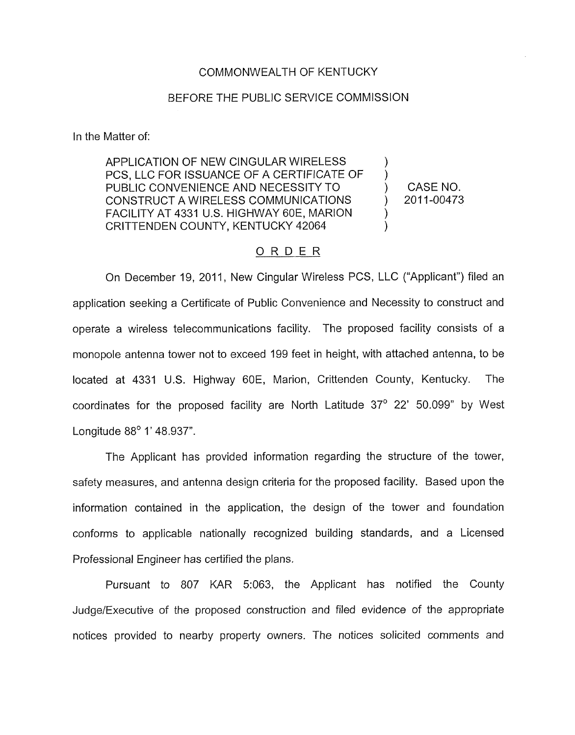## COMMONWEALTH OF KENTUCKY

## BEFORE THE PUBLIC SERVICE COMMISSION

In the Matter of:

APPLICATION OF NEW CINGULAR WIRELESS PCS, LLC FOR ISSUANCE OF A CERTIFICATE OF PUBLIC CONVENIENCE AND NECESSITY TO  $\qquad \qquad$  CASE NO. CONSTRUCT A WIRELESS COMMUNICATIONS ) 2011-00473 FACILITY AT 4331 U.S. HIGHWAY 60E, MARION CRITTENDEN COUNTY, KENTUCKY 42064

 $\sum_{i=1}^n$  $\sum_{i=1}^{n}$ 

## ORDER

On December 19, 2011, New Cingular Wireless PCS, LLC ("Applicant") filed an application seeking a Certificate of Public Convenience and Necessity to construct and operate a wireless telecommunications facility. The proposed facility consists of a monopole antenna tower not to exceed 199 feet in height, with attached antenna, to be located at 4331 U.S. Highway 60E, Marion, Crittenden County, Kentucky. The coordinates for the proposed facility are North Latitude 37° 22' 50.099" by West Longitude 88° 1' 48.937".

The Applicant has provided information regarding the structure of the tower, safety measures, and antenna design criteria for the proposed facility. Based upon the information contained in the application, the design of the tower and foundation conforms to applicable nationally recognized building standards, and a Licensed Professional Engineer has certified the plans.

Pursuant to 807 KAR 5:063, the Applicant has notified the County Judge/Executive of the proposed construction and filed evidence of the appropriate notices provided to nearby property owners. The notices solicited comments and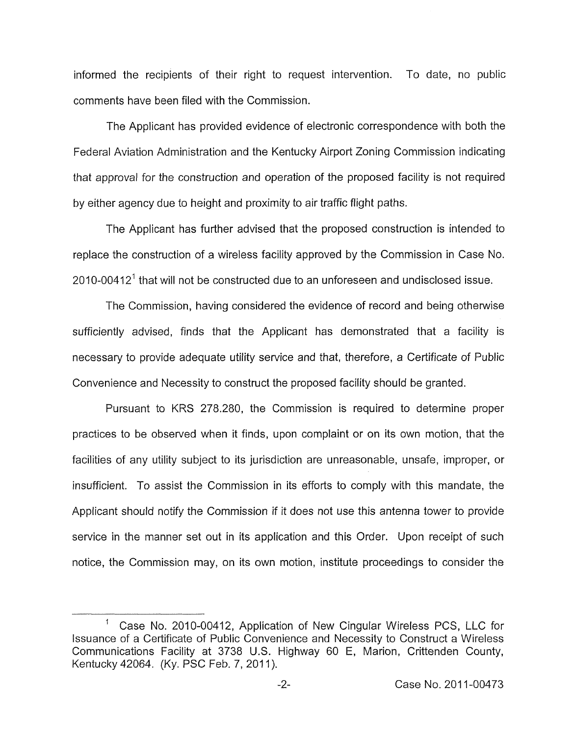informed the recipients of their right to request intervention. To date, no public comments have been filed with the Commission.

The Applicant has provided evidence of electronic correspondence with both the Federal Aviation Administration and the Kentucky Airport Zoning Commission indicating that approval for the construction and operation of the proposed facility is not required by either agency due to height and proximity to air traffic flight paths.

The Applicant has further advised that the proposed construction is intended to replace the construction of a wireless facility approved by the Commission in Case No.  $2010$ -00412<sup>1</sup> that will not be constructed due to an unforeseen and undisclosed issue.

The Commission, having considered the evidence of record and being otherwise sufficiently advised, finds that the Applicant has demonstrated that a facility is necessary to provide adequate utility service and that, therefore, a Certificate of Public Convenience and Necessity to construct the proposed facility should be granted.

Pursuant to KRS 278.280, the Commission is required to determine proper practices to be observed when it finds, upon complaint or on its own motion, that the facilities of any utility subject to its jurisdiction are unreasonable, unsafe, improper, or insufficient. To assist the Commission in its efforts to comply with this mandate, the Applicant should notify the Commission if it does not use this antenna tower to provide service in the manner set out in its application and this Order. Upon receipt of such notice, the commission may, on its own motion, institute proceedings to consider the

 $\mathbf{1}$ Case No. 2010-00412, Application of New Cingular Wireless PCS, LLC for Issuance of a Certificate of Public Convenience and Necessity to Construct a Wireless Communications Facility at 3738 U.S. Highway 60 E, Marion, Crittenden County, Kentucky 42064. (Ky. PSC Feb. 7, 2011).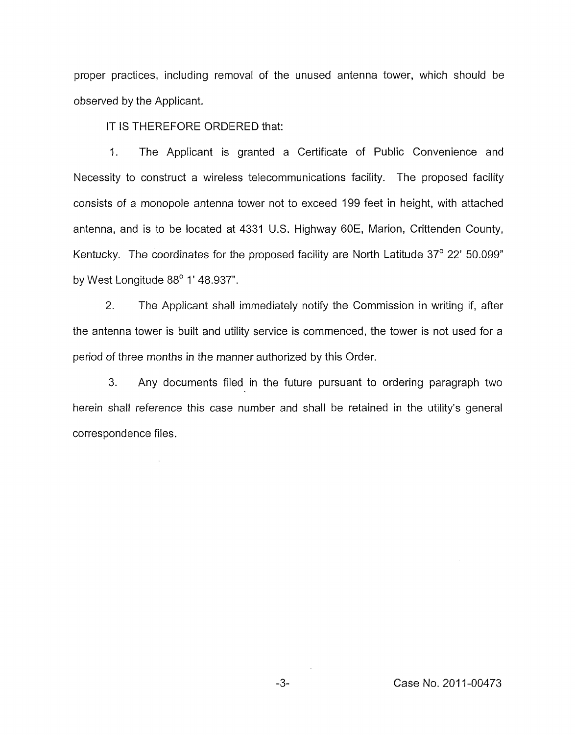proper practices, including removal of the unused antenna tower, which should be observed by the Applicant.

IT IS THEREFORE ORDERED that:

l,

1. The Applicant is granted a Certificate of Public Convenience and Necessity to construct a wireless telecommunications facility. The proposed facility consists of a monopole antenna tower not to exceed I99 feet in height, with attached antenna, and is to be located at 4331 U.S. Highway 60E, Marion, Crittenden County, Kentucky. The coordinates for the proposed facility are North Latitude  $37^{\circ}$  22' 50.099" by West Longitude *88'* 1 ' 48.937".

*2.* The Applicant shall immediately notify the Commission in writing if, after the antenna tower is built and utility service is commenced, the tower is not used for a period of three months in the manner authorized by this Order.

3. Any documents filed in the future pursuant to ordering paragraph two herein shall reference this case number and shall he retained in the utility's general correspondence files.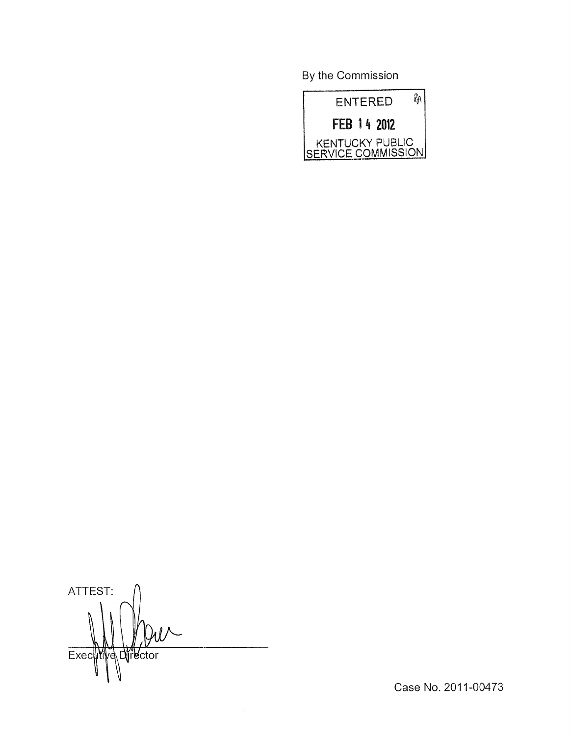By the Commission



ATTEST: Exec Myd Director

Case No. 2011-00473